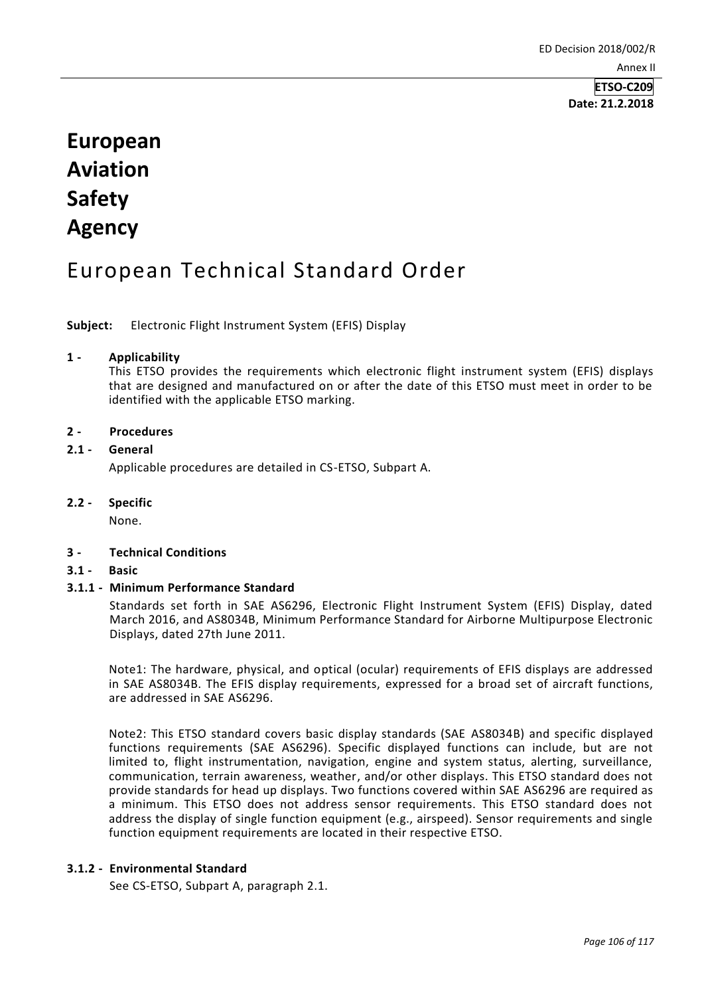# **European Aviation Safety Agency**

## European Technical Standard Order

**Subject:** Electronic Flight Instrument System (EFIS) Display

### **1 - Applicability**

This ETSO provides the requirements which electronic flight instrument system (EFIS) displays that are designed and manufactured on or after the date of this ETSO must meet in order to be identified with the applicable ETSO marking.

### **2 - Procedures**

### **2.1 - General**

Applicable procedures are detailed in CS-ETSO, Subpart A.

**2.2 - Specific**

None.

## **3 - Technical Conditions**

**3.1 - Basic**

## **3.1.1 - Minimum Performance Standard**

Standards set forth in SAE AS6296, Electronic Flight Instrument System (EFIS) Display, dated March 2016, and AS8034B, Minimum Performance Standard for Airborne Multipurpose Electronic Displays, dated 27th June 2011.

Note1: The hardware, physical, and optical (ocular) requirements of EFIS displays are addressed in SAE AS8034B. The EFIS display requirements, expressed for a broad set of aircraft functions, are addressed in SAE AS6296.

Note2: This ETSO standard covers basic display standards (SAE AS8034B) and specific displayed functions requirements (SAE AS6296). Specific displayed functions can include, but are not limited to, flight instrumentation, navigation, engine and system status, alerting, surveillance, communication, terrain awareness, weather, and/or other displays. This ETSO standard does not provide standards for head up displays. Two functions covered within SAE AS6296 are required as a minimum. This ETSO does not address sensor requirements. This ETSO standard does not address the display of single function equipment (e.g., airspeed). Sensor requirements and single function equipment requirements are located in their respective ETSO.

#### **3.1.2 - Environmental Standard**

See CS-ETSO, Subpart A, paragraph 2.1.